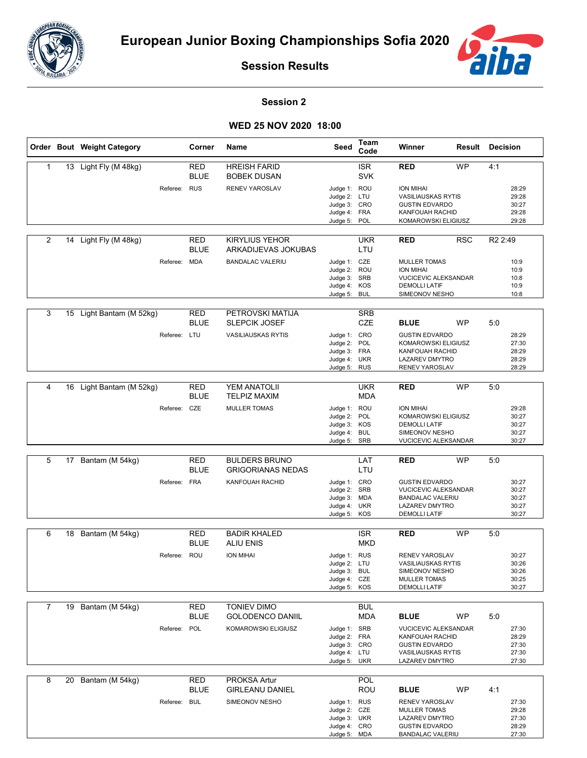



**Session Results**

## **Session 2**

## **WED 25 NOV 2020 18:00**

|                | Order Bout Weight Category |              | Corner                    | Name                                             | Seed                                                                         | Team<br>Code             | Winner                                                                                                                            | <b>Result Decision</b> |                     |                                           |
|----------------|----------------------------|--------------|---------------------------|--------------------------------------------------|------------------------------------------------------------------------------|--------------------------|-----------------------------------------------------------------------------------------------------------------------------------|------------------------|---------------------|-------------------------------------------|
| $\mathbf{1}$   | 13 Light Fly (M 48kg)      |              | <b>RED</b><br><b>BLUE</b> | <b>HREISH FARID</b><br><b>BOBEK DUSAN</b>        |                                                                              | <b>ISR</b><br><b>SVK</b> | <b>RED</b>                                                                                                                        | <b>WP</b>              | 4:1                 |                                           |
|                |                            | Referee: RUS |                           | RENEV YAROSLAV                                   | Judge 1: ROU<br>Judge 2: LTU<br>Judge 3: CRO<br>Judge 4: FRA<br>Judge 5: POL |                          | <b>ION MIHAI</b><br><b>VASILIAUSKAS RYTIS</b><br><b>GUSTIN EDVARDO</b><br>KANFOUAH RACHID<br>KOMAROWSKI ELIGIUSZ                  |                        |                     | 28:29<br>29:28<br>30:27<br>29:28<br>29:28 |
|                |                            |              |                           |                                                  |                                                                              |                          |                                                                                                                                   |                        |                     |                                           |
| 2              | 14 Light Fly (M 48kg)      |              | <b>RED</b><br><b>BLUE</b> | <b>KIRYLIUS YEHOR</b><br>ARKADIJEVAS JOKUBAS     |                                                                              | <b>UKR</b><br>LTU        | <b>RED</b>                                                                                                                        | <b>RSC</b>             | R <sub>2</sub> 2:49 |                                           |
|                |                            | Referee: MDA |                           | <b>BANDALAC VALERIU</b>                          | Judge 1: CZE<br>Judge 2: ROU<br>Judge 3: SRB<br>Judge 4: KOS<br>Judge 5:     | <b>BUL</b>               | <b>MULLER TOMAS</b><br><b>ION MIHAI</b><br>VUCICEVIC ALEKSANDAR<br><b>DEMOLLI LATIF</b><br>SIMEONOV NESHO                         |                        |                     | 10:9<br>10:9<br>10:8<br>10:9<br>10:8      |
| 3              | 15 Light Bantam (M 52kg)   |              | RED<br><b>BLUE</b>        | PETROVSKI MATIJA<br><b>SLEPCIK JOSEF</b>         |                                                                              | <b>SRB</b><br><b>CZE</b> | <b>BLUE</b>                                                                                                                       | <b>WP</b>              | 5:0                 |                                           |
|                |                            | Referee: LTU |                           | <b>VASILIAUSKAS RYTIS</b>                        | Judge 1: CRO<br>Judge 2:<br>Judge 3: FRA<br>Judge 4: UKR<br>Judge 5: RUS     | POL                      | <b>GUSTIN EDVARDO</b><br>KOMAROWSKI ELIGIUSZ<br><b>KANFOUAH RACHID</b><br><b>LAZAREV DMYTRO</b><br>RENEV YAROSLAV                 |                        |                     | 28:29<br>27:30<br>28:29<br>28:29<br>28:29 |
| 4              | 16 Light Bantam (M 52kg)   |              | RED<br><b>BLUE</b>        | YEM ANATOLII<br><b>TELPIZ MAXIM</b>              |                                                                              | <b>UKR</b><br><b>MDA</b> | <b>RED</b>                                                                                                                        | <b>WP</b>              | 5:0                 |                                           |
|                |                            | Referee: CZE |                           | MULLER TOMAS                                     | Judge 1: ROU<br>Judge 2: POL<br>Judge 3: KOS<br>Judge 4: BUL<br>Judge 5: SRB |                          | <b>ION MIHAI</b><br>KOMAROWSKI ELIGIUSZ<br><b>DEMOLLI LATIF</b><br>SIMEONOV NESHO<br><b>VUCICEVIC ALEKSANDAR</b>                  |                        |                     | 29:28<br>30:27<br>30:27<br>30:27<br>30:27 |
|                |                            |              |                           |                                                  |                                                                              |                          |                                                                                                                                   |                        |                     |                                           |
| 5              | 17 Bantam (M 54kg)         |              | RED<br><b>BLUE</b>        | <b>BULDERS BRUNO</b><br><b>GRIGORIANAS NEDAS</b> |                                                                              | LAT<br>LTU               | <b>RED</b>                                                                                                                        | <b>WP</b>              | 5:0                 |                                           |
|                |                            | Referee: FRA |                           | KANFOUAH RACHID                                  | Judge 1: CRO<br>Judge 2: SRB<br>Judge 3: MDA<br>Judge 4: UKR<br>Judge 5: KOS |                          | <b>GUSTIN EDVARDO</b><br><b>VUCICEVIC ALEKSANDAR</b><br><b>BANDALAC VALERIU</b><br><b>LAZAREV DMYTRO</b><br><b>DEMOLLI LATIF</b>  |                        |                     | 30:27<br>30:27<br>30:27<br>30:27<br>30:27 |
| 6              | 18 Bantam (M 54kg)         |              | RED                       | <b>BADIR KHALED</b>                              |                                                                              | <b>ISR</b>               | <b>RED</b>                                                                                                                        | <b>WP</b>              | 5:0                 |                                           |
|                |                            |              | <b>BLUE</b>               | <b>ALIU ENIS</b>                                 |                                                                              | <b>MKD</b>               |                                                                                                                                   |                        |                     |                                           |
|                |                            | Referee: ROU |                           | <b>ION MIHAI</b>                                 | Judge 1: RUS<br>Judge 2: LTU<br>Judge 3: BUL<br>Judge 4: CZE<br>Judge 5: KOS |                          | <b>RENEV YAROSLAV</b><br><b>VASILIAUSKAS RYTIS</b><br>SIMEONOV NESHO<br><b>MULLER TOMAS</b><br><b>DEMOLLI LATIF</b>               |                        |                     | 30:27<br>30:26<br>30:26<br>30:25<br>30:27 |
| $\overline{7}$ | 19 Bantam (M 54kg)         |              | RED                       | <b>TONIEV DIMO</b>                               |                                                                              | <b>BUL</b>               |                                                                                                                                   |                        |                     |                                           |
|                |                            |              | <b>BLUE</b>               | <b>GOLODENCO DANIIL</b>                          |                                                                              | <b>MDA</b>               | <b>BLUE</b>                                                                                                                       | <b>WP</b>              | 5:0                 |                                           |
|                |                            | Referee: POL |                           | KOMAROWSKI ELIGIUSZ                              | Judge 1: SRB<br>Judge 2: FRA<br>Judge 3: CRO<br>Judge 4: LTU<br>Judge 5: UKR |                          | <b>VUCICEVIC ALEKSANDAR</b><br>KANFOUAH RACHID<br><b>GUSTIN EDVARDO</b><br><b>VASILIAUSKAS RYTIS</b><br><b>LAZAREV DMYTRO</b>     |                        |                     | 27:30<br>28:29<br>27:30<br>27:30<br>27:30 |
| 8              | 20 Bantam (M 54kg)         |              | RED                       | <b>PROKSA Artur</b>                              |                                                                              | <b>POL</b>               |                                                                                                                                   |                        |                     |                                           |
|                |                            | Referee: BUL | <b>BLUE</b>               | <b>GIRLEANU DANIEL</b><br>SIMEONOV NESHO         | Judge 1: RUS<br>Judge 2: CZE<br>Judge 3: UKR<br>Judge 4: CRO<br>Judge 5: MDA | ROU                      | <b>BLUE</b><br>RENEV YAROSLAV<br><b>MULLER TOMAS</b><br><b>LAZAREV DMYTRO</b><br><b>GUSTIN EDVARDO</b><br><b>BANDALAC VALERIU</b> | <b>WP</b>              | 4:1                 | 27:30<br>29:28<br>27:30<br>28:29<br>27:30 |